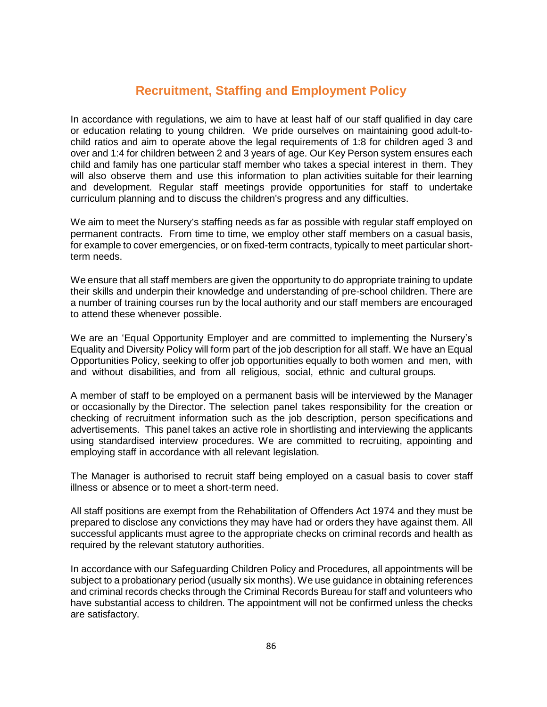# **Recruitment, Staffing and Employment Policy**

In accordance with regulations, we aim to have at least half of our staff qualified in day care or education relating to young children. We pride ourselves on maintaining good adult-tochild ratios and aim to operate above the legal requirements of 1:8 for children aged 3 and over and 1:4 for children between 2 and 3 years of age. Our Key Person system ensures each child and family has one particular staff member who takes a special interest in them. They will also observe them and use this information to plan activities suitable for their learning and development. Regular staff meetings provide opportunities for staff to undertake curriculum planning and to discuss the children's progress and any difficulties.

We aim to meet the Nursery's staffing needs as far as possible with regular staff employed on permanent contracts. From time to time, we employ other staff members on a casual basis, for example to cover emergencies, or on fixed-term contracts, typically to meet particular shortterm needs.

We ensure that all staff members are given the opportunity to do appropriate training to update their skills and underpin their knowledge and understanding of pre-school children. There are a number of training courses run by the local authority and our staff members are encouraged to attend these whenever possible.

We are an 'Equal Opportunity Employer and are committed to implementing the Nursery's Equality and Diversity Policy will form part of the job description for all staff. We have an Equal Opportunities Policy, seeking to offer job opportunities equally to both women and men, with and without disabilities, and from all religious, social, ethnic and cultural groups.

A member of staff to be employed on a permanent basis will be interviewed by the Manager or occasionally by the Director. The selection panel takes responsibility for the creation or checking of recruitment information such as the job description, person specifications and advertisements. This panel takes an active role in shortlisting and interviewing the applicants using standardised interview procedures. We are committed to recruiting, appointing and employing staff in accordance with all relevant legislation.

The Manager is authorised to recruit staff being employed on a casual basis to cover staff illness or absence or to meet a short-term need.

All staff positions are exempt from the Rehabilitation of Offenders Act 1974 and they must be prepared to disclose any convictions they may have had or orders they have against them. All successful applicants must agree to the appropriate checks on criminal records and health as required by the relevant statutory authorities.

In accordance with our Safeguarding Children Policy and Procedures, all appointments will be subject to a probationary period (usually six months). We use guidance in obtaining references and criminal records checks through the Criminal Records Bureau for staff and volunteers who have substantial access to children. The appointment will not be confirmed unless the checks are satisfactory.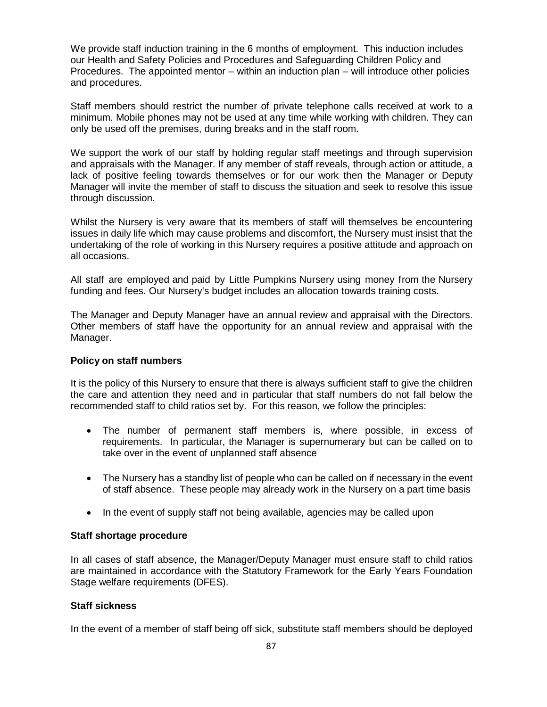We provide staff induction training in the 6 months of employment. This induction includes our Health and Safety Policies and Procedures and Safeguarding Children Policy and Procedures. The appointed mentor – within an induction plan – will introduce other policies and procedures.

Staff members should restrict the number of private telephone calls received at work to a minimum. Mobile phones may not be used at any time while working with children. They can only be used off the premises, during breaks and in the staff room.

We support the work of our staff by holding regular staff meetings and through supervision and appraisals with the Manager. If any member of staff reveals, through action or attitude, a lack of positive feeling towards themselves or for our work then the Manager or Deputy Manager will invite the member of staff to discuss the situation and seek to resolve this issue through discussion.

Whilst the Nursery is very aware that its members of staff will themselves be encountering issues in daily life which may cause problems and discomfort, the Nursery must insist that the undertaking of the role of working in this Nursery requires a positive attitude and approach on all occasions.

All staff are employed and paid by Little Pumpkins Nursery using money from the Nursery funding and fees. Our Nursery's budget includes an allocation towards training costs.

The Manager and Deputy Manager have an annual review and appraisal with the Directors. Other members of staff have the opportunity for an annual review and appraisal with the Manager.

# **Policy on staff numbers**

It is the policy of this Nursery to ensure that there is always sufficient staff to give the children the care and attention they need and in particular that staff numbers do not fall below the recommended staff to child ratios set by. For this reason, we follow the principles:

- The number of permanent staff members is, where possible, in excess of requirements. In particular, the Manager is supernumerary but can be called on to take over in the event of unplanned staff absence
- The Nursery has a standby list of people who can be called on if necessary in the event of staff absence. These people may already work in the Nursery on a part time basis
- In the event of supply staff not being available, agencies may be called upon

# **Staff shortage procedure**

In all cases of staff absence, the Manager/Deputy Manager must ensure staff to child ratios are maintained in accordance with the Statutory Framework for the Early Years Foundation Stage welfare requirements (DFES).

# **Staff sickness**

In the event of a member of staff being off sick, substitute staff members should be deployed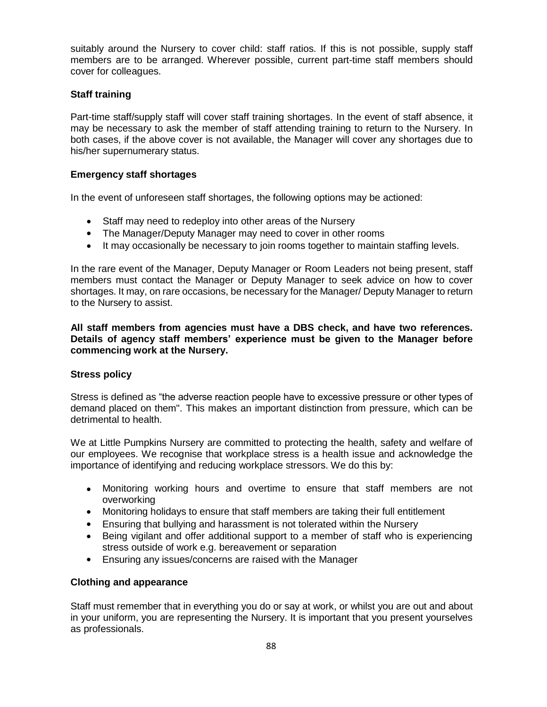suitably around the Nursery to cover child: staff ratios. If this is not possible, supply staff members are to be arranged. Wherever possible, current part-time staff members should cover for colleagues.

# **Staff training**

Part-time staff/supply staff will cover staff training shortages. In the event of staff absence, it may be necessary to ask the member of staff attending training to return to the Nursery. In both cases, if the above cover is not available, the Manager will cover any shortages due to his/her supernumerary status.

# **Emergency staff shortages**

In the event of unforeseen staff shortages, the following options may be actioned:

- Staff may need to redeploy into other areas of the Nursery
- The Manager/Deputy Manager may need to cover in other rooms
- It may occasionally be necessary to join rooms together to maintain staffing levels.

In the rare event of the Manager, Deputy Manager or Room Leaders not being present, staff members must contact the Manager or Deputy Manager to seek advice on how to cover shortages. It may, on rare occasions, be necessary for the Manager/ Deputy Manager to return to the Nursery to assist.

**All staff members from agencies must have a DBS check, and have two references. Details of agency staff members' experience must be given to the Manager before commencing work at the Nursery.**

# **Stress policy**

Stress is defined as "the adverse reaction people have to excessive pressure or other types of demand placed on them". This makes an important distinction from pressure, which can be detrimental to health.

We at Little Pumpkins Nursery are committed to protecting the health, safety and welfare of our employees. We recognise that workplace stress is a health issue and acknowledge the importance of identifying and reducing workplace stressors. We do this by:

- Monitoring working hours and overtime to ensure that staff members are not overworking
- Monitoring holidays to ensure that staff members are taking their full entitlement
- Ensuring that bullying and harassment is not tolerated within the Nursery
- Being vigilant and offer additional support to a member of staff who is experiencing stress outside of work e.g. bereavement or separation
- Ensuring any issues/concerns are raised with the Manager

# **Clothing and appearance**

Staff must remember that in everything you do or say at work, or whilst you are out and about in your uniform, you are representing the Nursery. It is important that you present yourselves as professionals.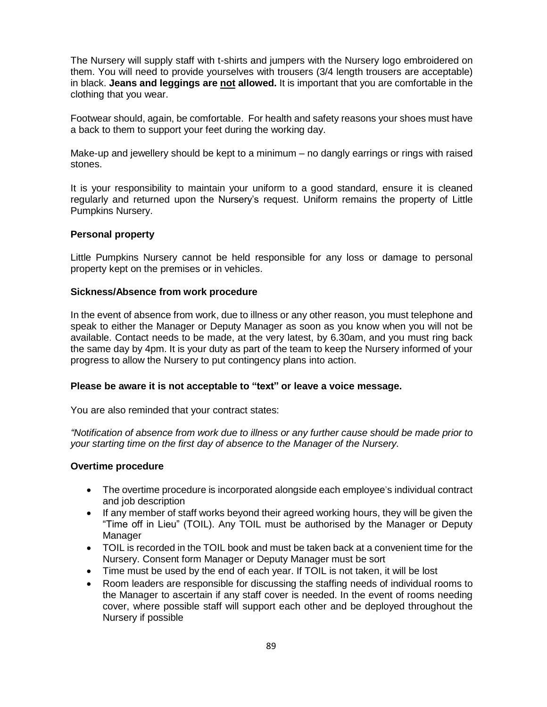The Nursery will supply staff with t-shirts and jumpers with the Nursery logo embroidered on them. You will need to provide yourselves with trousers (3/4 length trousers are acceptable) in black. **Jeans and leggings are not allowed.** It is important that you are comfortable in the clothing that you wear.

Footwear should, again, be comfortable. For health and safety reasons your shoes must have a back to them to support your feet during the working day.

Make-up and jewellery should be kept to a minimum – no dangly earrings or rings with raised stones.

It is your responsibility to maintain your uniform to a good standard, ensure it is cleaned regularly and returned upon the Nursery's request. Uniform remains the property of Little Pumpkins Nursery.

#### **Personal property**

Little Pumpkins Nursery cannot be held responsible for any loss or damage to personal property kept on the premises or in vehicles.

#### **Sickness/Absence from work procedure**

In the event of absence from work, due to illness or any other reason, you must telephone and speak to either the Manager or Deputy Manager as soon as you know when you will not be available. Contact needs to be made, at the very latest, by 6.30am, and you must ring back the same day by 4pm. It is your duty as part of the team to keep the Nursery informed of your progress to allow the Nursery to put contingency plans into action.

#### **Please be aware it is not acceptable to "text" or leave a voice message.**

You are also reminded that your contract states:

*"Notification of absence from work due to illness or any further cause should be made prior to your starting time on the first day of absence to the Manager of the Nursery.*

#### **Overtime procedure**

- The overtime procedure is incorporated alongside each employee's individual contract and job description
- If any member of staff works beyond their agreed working hours, they will be given the "Time off in Lieu" (TOIL). Any TOIL must be authorised by the Manager or Deputy Manager
- TOIL is recorded in the TOIL book and must be taken back at a convenient time for the Nursery. Consent form Manager or Deputy Manager must be sort
- Time must be used by the end of each year. If TOIL is not taken, it will be lost
- Room leaders are responsible for discussing the staffing needs of individual rooms to the Manager to ascertain if any staff cover is needed. In the event of rooms needing cover, where possible staff will support each other and be deployed throughout the Nursery if possible